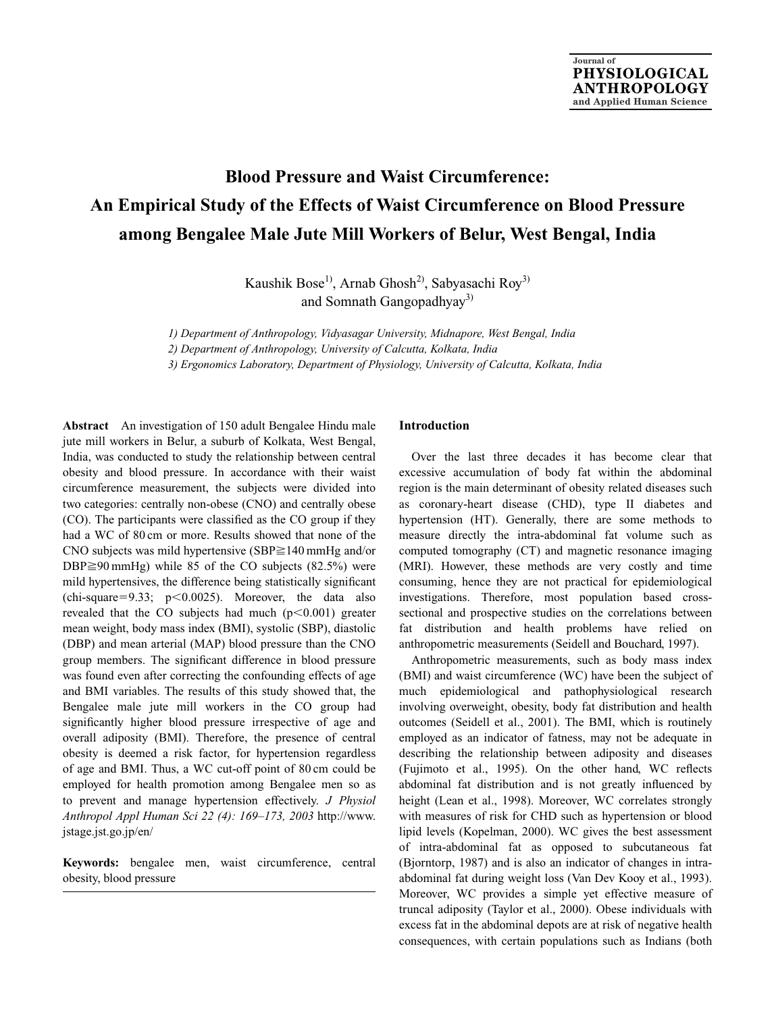# **Blood Pressure and Waist Circumference: An Empirical Study of the Effects of Waist Circumference on Blood Pressure among Bengalee Male Jute Mill Workers of Belur, West Bengal, India**

Kaushik Bose<sup>1)</sup>, Arnab Ghosh<sup>2)</sup>, Sabyasachi Roy<sup>3)</sup> and Somnath Gangopadhyay<sup>3)</sup>

*1) Department of Anthropology, Vidyasagar University, Midnapore, West Bengal, India 2) Department of Anthropology, University of Calcutta, Kolkata, India 3) Ergonomics Laboratory, Department of Physiology, University of Calcutta, Kolkata, India*

**Abstract** An investigation of 150 adult Bengalee Hindu male jute mill workers in Belur, a suburb of Kolkata, West Bengal, India, was conducted to study the relationship between central obesity and blood pressure. In accordance with their waist circumference measurement, the subjects were divided into two categories: centrally non-obese (CNO) and centrally obese (CO). The participants were classified as the CO group if they had a WC of 80 cm or more. Results showed that none of the CNO subjects was mild hypertensive (SBP $\geq$ 140 mmHg and/or DBP $\geq$ 90 mmHg) while 85 of the CO subjects (82.5%) were mild hypertensives, the difference being statistically significant (chi-square=9.33;  $p<0.0025$ ). Moreover, the data also revealed that the CO subjects had much  $(p<0.001)$  greater mean weight, body mass index (BMI), systolic (SBP), diastolic (DBP) and mean arterial (MAP) blood pressure than the CNO group members. The significant difference in blood pressure was found even after correcting the confounding effects of age and BMI variables. The results of this study showed that, the Bengalee male jute mill workers in the CO group had significantly higher blood pressure irrespective of age and overall adiposity (BMI). Therefore, the presence of central obesity is deemed a risk factor, for hypertension regardless of age and BMI. Thus, a WC cut-off point of 80 cm could be employed for health promotion among Bengalee men so as to prevent and manage hypertension effectively. *J Physiol Anthropol Appl Human Sci 22 (4): 169–173, 2003* http://www. jstage.jst.go.jp/en/

**Keywords:** bengalee men, waist circumference, central obesity, blood pressure

## **Introduction**

Over the last three decades it has become clear that excessive accumulation of body fat within the abdominal region is the main determinant of obesity related diseases such as coronary-heart disease (CHD), type II diabetes and hypertension (HT). Generally, there are some methods to measure directly the intra-abdominal fat volume such as computed tomography (CT) and magnetic resonance imaging (MRI). However, these methods are very costly and time consuming, hence they are not practical for epidemiological investigations. Therefore, most population based crosssectional and prospective studies on the correlations between fat distribution and health problems have relied on anthropometric measurements (Seidell and Bouchard, 1997).

Anthropometric measurements, such as body mass index (BMI) and waist circumference (WC) have been the subject of much epidemiological and pathophysiological research involving overweight, obesity, body fat distribution and health outcomes (Seidell et al., 2001). The BMI, which is routinely employed as an indicator of fatness, may not be adequate in describing the relationship between adiposity and diseases (Fujimoto et al., 1995). On the other hand, WC reflects abdominal fat distribution and is not greatly influenced by height (Lean et al., 1998). Moreover, WC correlates strongly with measures of risk for CHD such as hypertension or blood lipid levels (Kopelman, 2000). WC gives the best assessment of intra-abdominal fat as opposed to subcutaneous fat (Bjorntorp, 1987) and is also an indicator of changes in intraabdominal fat during weight loss (Van Dev Kooy et al., 1993). Moreover, WC provides a simple yet effective measure of truncal adiposity (Taylor et al., 2000). Obese individuals with excess fat in the abdominal depots are at risk of negative health consequences, with certain populations such as Indians (both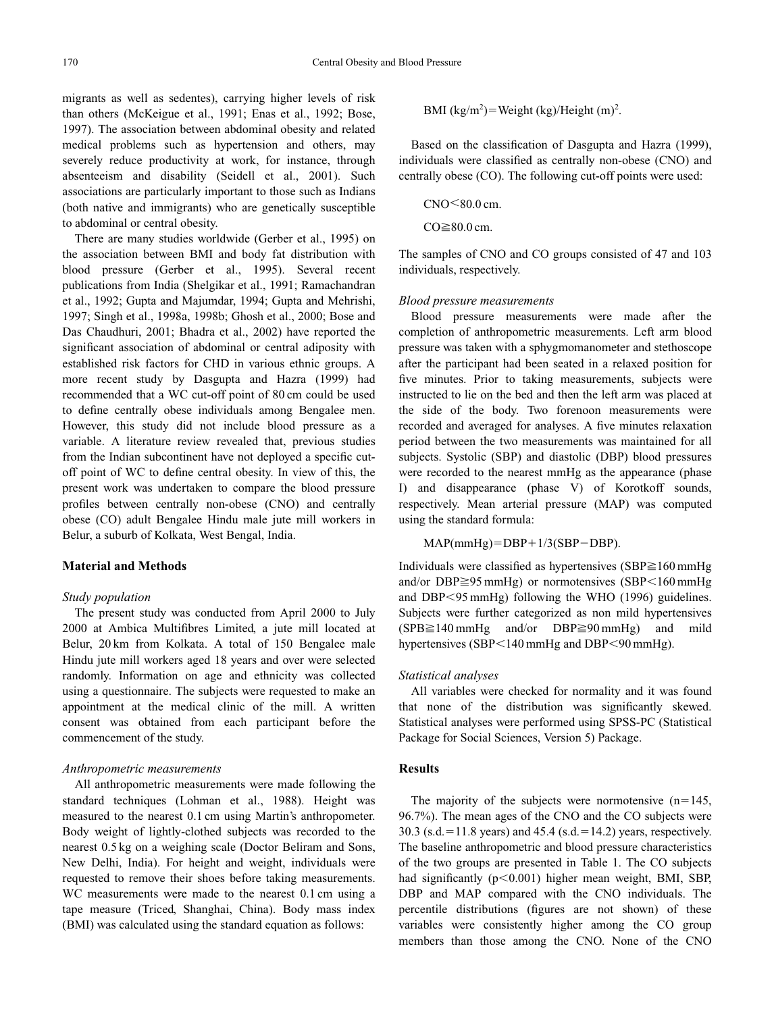migrants as well as sedentes), carrying higher levels of risk than others (McKeigue et al., 1991; Enas et al., 1992; Bose, 1997). The association between abdominal obesity and related medical problems such as hypertension and others, may severely reduce productivity at work, for instance, through absenteeism and disability (Seidell et al., 2001). Such associations are particularly important to those such as Indians (both native and immigrants) who are genetically susceptible to abdominal or central obesity.

There are many studies worldwide (Gerber et al., 1995) on the association between BMI and body fat distribution with blood pressure (Gerber et al., 1995). Several recent publications from India (Shelgikar et al., 1991; Ramachandran et al., 1992; Gupta and Majumdar, 1994; Gupta and Mehrishi, 1997; Singh et al., 1998a, 1998b; Ghosh et al., 2000; Bose and Das Chaudhuri, 2001; Bhadra et al., 2002) have reported the significant association of abdominal or central adiposity with established risk factors for CHD in various ethnic groups. A more recent study by Dasgupta and Hazra (1999) had recommended that a WC cut-off point of 80 cm could be used to define centrally obese individuals among Bengalee men. However, this study did not include blood pressure as a variable. A literature review revealed that, previous studies from the Indian subcontinent have not deployed a specific cutoff point of WC to define central obesity. In view of this, the present work was undertaken to compare the blood pressure profiles between centrally non-obese (CNO) and centrally obese (CO) adult Bengalee Hindu male jute mill workers in Belur, a suburb of Kolkata, West Bengal, India.

### **Material and Methods**

### *Study population*

The present study was conducted from April 2000 to July 2000 at Ambica Multifibres Limited, a jute mill located at Belur, 20 km from Kolkata. A total of 150 Bengalee male Hindu jute mill workers aged 18 years and over were selected randomly. Information on age and ethnicity was collected using a questionnaire. The subjects were requested to make an appointment at the medical clinic of the mill. A written consent was obtained from each participant before the commencement of the study.

#### *Anthropometric measurements*

All anthropometric measurements were made following the standard techniques (Lohman et al., 1988). Height was measured to the nearest 0.1 cm using Martin's anthropometer. Body weight of lightly-clothed subjects was recorded to the nearest 0.5 kg on a weighing scale (Doctor Beliram and Sons, New Delhi, India). For height and weight, individuals were requested to remove their shoes before taking measurements. WC measurements were made to the nearest 0.1 cm using a tape measure (Triced, Shanghai, China). Body mass index (BMI) was calculated using the standard equation as follows:

BMI (kg/m<sup>2</sup>)=Weight (kg)/Height (m)<sup>2</sup>.

Based on the classification of Dasgupta and Hazra (1999), individuals were classified as centrally non-obese (CNO) and centrally obese (CO). The following cut-off points were used:

$$
CNO^{<80.0}cm.
$$

$$
CO \ge 80.0 \, \text{cm}
$$
.

The samples of CNO and CO groups consisted of 47 and 103 individuals, respectively.

#### *Blood pressure measurements*

Blood pressure measurements were made after the completion of anthropometric measurements. Left arm blood pressure was taken with a sphygmomanometer and stethoscope after the participant had been seated in a relaxed position for five minutes. Prior to taking measurements, subjects were instructed to lie on the bed and then the left arm was placed at the side of the body. Two forenoon measurements were recorded and averaged for analyses. A five minutes relaxation period between the two measurements was maintained for all subjects. Systolic (SBP) and diastolic (DBP) blood pressures were recorded to the nearest mmHg as the appearance (phase I) and disappearance (phase V) of Korotkoff sounds, respectively. Mean arterial pressure (MAP) was computed using the standard formula:

#### $MAP(mmHg)=DBP+1/3(SBP-DBP).$

Individuals were classified as hypertensives (SBP $\geq$ 160 mmHg and/or DBP $\geq$ 95 mmHg) or normotensives (SBP $<$ 160 mmHg and DBP<95 mmHg) following the WHO (1996) guidelines. Subjects were further categorized as non mild hypertensives  $(SPB \ge 140$  mmHg and/or DBP $\ge 90$  mmHg) and mild hypertensives (SBP $<$ 140 mmHg and DBP $<$ 90 mmHg).

## *Statistical analyses*

All variables were checked for normality and it was found that none of the distribution was significantly skewed. Statistical analyses were performed using SPSS-PC (Statistical Package for Social Sciences, Version 5) Package.

## **Results**

The majority of the subjects were normotensive  $(n=145,$ 96.7%). The mean ages of the CNO and the CO subjects were 30.3 (s.d.=11.8 years) and 45.4 (s.d.=14.2) years, respectively. The baseline anthropometric and blood pressure characteristics of the two groups are presented in Table 1. The CO subjects had significantly  $(p<0.001)$  higher mean weight, BMI, SBP, DBP and MAP compared with the CNO individuals. The percentile distributions (figures are not shown) of these variables were consistently higher among the CO group members than those among the CNO. None of the CNO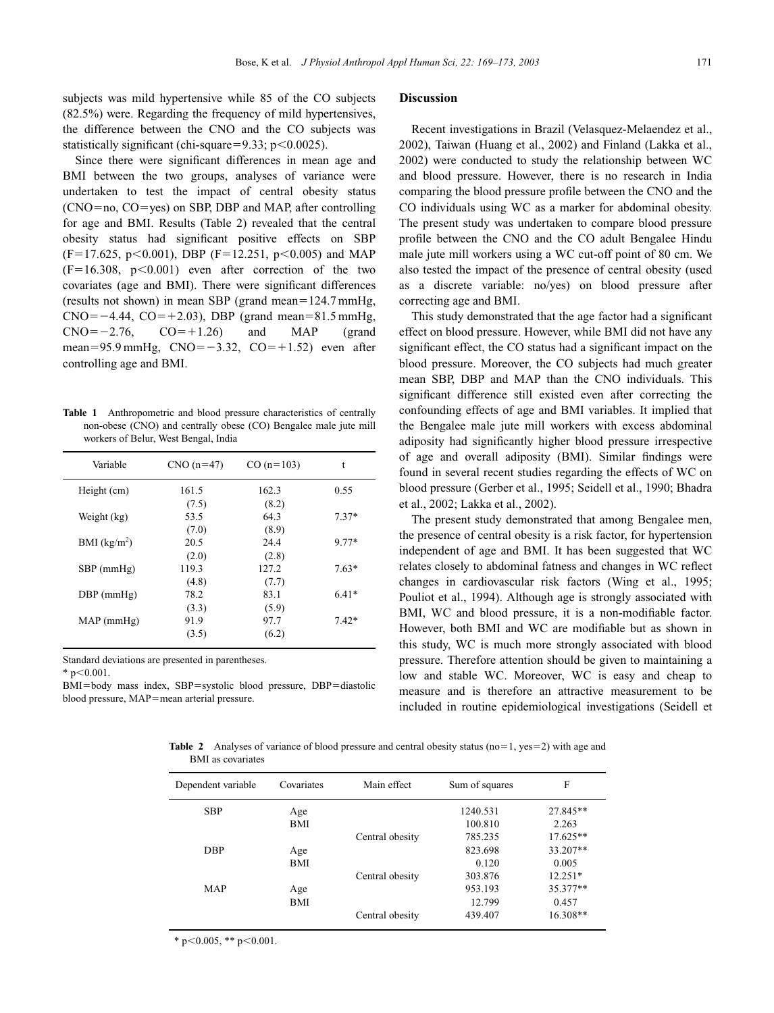subjects was mild hypertensive while 85 of the CO subjects (82.5%) were. Regarding the frequency of mild hypertensives, the difference between the CNO and the CO subjects was statistically significant (chi-square=9.33;  $p<0.0025$ ).

Since there were significant differences in mean age and BMI between the two groups, analyses of variance were undertaken to test the impact of central obesity status  $(CNO=no, CO=yes)$  on SBP, DBP and MAP, after controlling for age and BMI. Results (Table 2) revealed that the central obesity status had significant positive effects on SBP  $(F=17.625, p<0.001)$ , DBP  $(F=12.251, p<0.005)$  and MAP  $(F=16.308, p<0.001)$  even after correction of the two covariates (age and BMI). There were significant differences (results not shown) in mean SBP (grand mean= $124.7$  mmHg,  $CNO = -4.44$ ,  $CO = +2.03$ ), DBP (grand mean=81.5 mmHg,  $CNO=-2.76$ ,  $CO=+1.26$ ) and MAP (grand mean=95.9 mmHg,  $CNO=-3.32$ ,  $CO=+1.52$ ) even after controlling age and BMI.

**Table 1** Anthropometric and blood pressure characteristics of centrally non-obese (CNO) and centrally obese (CO) Bengalee male jute mill workers of Belur, West Bengal, India

| Variable      | $CNO (n=47)$ | $CO (n=103)$ | t       |
|---------------|--------------|--------------|---------|
| Height (cm)   | 161.5        | 162.3        | 0.55    |
|               | (7.5)        | (8.2)        |         |
| Weight (kg)   | 53.5         | 64.3         | $7.37*$ |
|               | (7.0)        | (8.9)        |         |
| BMI $(kg/m2)$ | 20.5         | 24.4         | $9.77*$ |
|               | (2.0)        | (2.8)        |         |
| $SBP$ (mmHg)  | 119.3        | 127.2        | $7.63*$ |
|               | (4.8)        | (7.7)        |         |
| $DBP$ (mmHg)  | 78.2         | 83.1         | $6.41*$ |
|               | (3.3)        | (5.9)        |         |
| MAP(mmHg)     | 91.9         | 97.7         | $7.42*$ |
|               | (3.5)        | (6.2)        |         |

Standard deviations are presented in parentheses.

 $*$  p $<$ 0.001.

BMI=body mass index, SBP=systolic blood pressure, DBP=diastolic blood pressure, MAP=mean arterial pressure.

## **Discussion**

Recent investigations in Brazil (Velasquez-Melaendez et al., 2002), Taiwan (Huang et al., 2002) and Finland (Lakka et al., 2002) were conducted to study the relationship between WC and blood pressure. However, there is no research in India comparing the blood pressure profile between the CNO and the CO individuals using WC as a marker for abdominal obesity. The present study was undertaken to compare blood pressure profile between the CNO and the CO adult Bengalee Hindu male jute mill workers using a WC cut-off point of 80 cm. We also tested the impact of the presence of central obesity (used as a discrete variable: no/yes) on blood pressure after correcting age and BMI.

This study demonstrated that the age factor had a significant effect on blood pressure. However, while BMI did not have any significant effect, the CO status had a significant impact on the blood pressure. Moreover, the CO subjects had much greater mean SBP, DBP and MAP than the CNO individuals. This significant difference still existed even after correcting the confounding effects of age and BMI variables. It implied that the Bengalee male jute mill workers with excess abdominal adiposity had significantly higher blood pressure irrespective of age and overall adiposity (BMI). Similar findings were found in several recent studies regarding the effects of WC on blood pressure (Gerber et al., 1995; Seidell et al., 1990; Bhadra et al., 2002; Lakka et al., 2002).

The present study demonstrated that among Bengalee men, the presence of central obesity is a risk factor, for hypertension independent of age and BMI. It has been suggested that WC relates closely to abdominal fatness and changes in WC reflect changes in cardiovascular risk factors (Wing et al., 1995; Pouliot et al., 1994). Although age is strongly associated with BMI, WC and blood pressure, it is a non-modifiable factor. However, both BMI and WC are modifiable but as shown in this study, WC is much more strongly associated with blood pressure. Therefore attention should be given to maintaining a low and stable WC. Moreover, WC is easy and cheap to measure and is therefore an attractive measurement to be included in routine epidemiological investigations (Seidell et

**Table 2** Analyses of variance of blood pressure and central obesity status ( $no=1$ ,  $yes=2$ ) with age and BMI as covariates

| Dependent variable | Covariates | Main effect     | Sum of squares | F         |
|--------------------|------------|-----------------|----------------|-----------|
| <b>SBP</b>         | Age        |                 | 1240.531       | 27.845**  |
|                    | <b>BMI</b> |                 | 100.810        | 2.263     |
|                    |            | Central obesity | 785.235        | 17.625**  |
| <b>DBP</b>         | Age        |                 | 823.698        | 33.207**  |
|                    | <b>BMI</b> |                 | 0.120          | 0.005     |
|                    |            | Central obesity | 303.876        | $12.251*$ |
| MAP                | Age        |                 | 953.193        | 35.377**  |
|                    | <b>BMI</b> |                 | 12.799         | 0.457     |
|                    |            | Central obesity | 439.407        | 16.308**  |

\* p<0.005, \*\* p<0.001.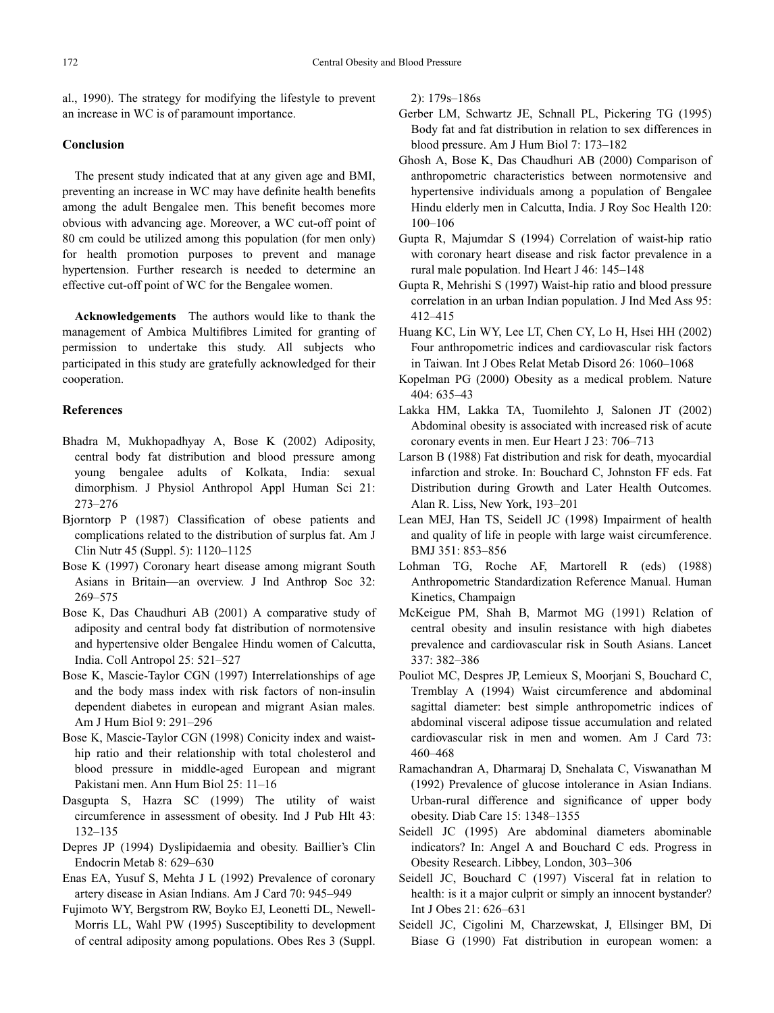al., 1990). The strategy for modifying the lifestyle to prevent an increase in WC is of paramount importance.

## **Conclusion**

The present study indicated that at any given age and BMI, preventing an increase in WC may have definite health benefits among the adult Bengalee men. This benefit becomes more obvious with advancing age. Moreover, a WC cut-off point of 80 cm could be utilized among this population (for men only) for health promotion purposes to prevent and manage hypertension. Further research is needed to determine an effective cut-off point of WC for the Bengalee women.

**Acknowledgements** The authors would like to thank the management of Ambica Multifibres Limited for granting of permission to undertake this study. All subjects who participated in this study are gratefully acknowledged for their cooperation.

## **References**

- Bhadra M, Mukhopadhyay A, Bose K (2002) Adiposity, central body fat distribution and blood pressure among young bengalee adults of Kolkata, India: sexual dimorphism. J Physiol Anthropol Appl Human Sci 21: 273–276
- Bjorntorp P (1987) Classification of obese patients and complications related to the distribution of surplus fat. Am J Clin Nutr 45 (Suppl. 5): 1120–1125
- Bose K (1997) Coronary heart disease among migrant South Asians in Britain—an overview. J Ind Anthrop Soc 32: 269–575
- Bose K, Das Chaudhuri AB (2001) A comparative study of adiposity and central body fat distribution of normotensive and hypertensive older Bengalee Hindu women of Calcutta, India. Coll Antropol 25: 521–527
- Bose K, Mascie-Taylor CGN (1997) Interrelationships of age and the body mass index with risk factors of non-insulin dependent diabetes in european and migrant Asian males. Am J Hum Biol 9: 291–296
- Bose K, Mascie-Taylor CGN (1998) Conicity index and waisthip ratio and their relationship with total cholesterol and blood pressure in middle-aged European and migrant Pakistani men. Ann Hum Biol 25: 11–16
- Dasgupta S, Hazra SC (1999) The utility of waist circumference in assessment of obesity. Ind J Pub Hlt 43: 132–135
- Depres JP (1994) Dyslipidaemia and obesity. Baillier's Clin Endocrin Metab 8: 629–630
- Enas EA, Yusuf S, Mehta J L (1992) Prevalence of coronary artery disease in Asian Indians. Am J Card 70: 945–949
- Fujimoto WY, Bergstrom RW, Boyko EJ, Leonetti DL, Newell-Morris LL, Wahl PW (1995) Susceptibility to development of central adiposity among populations. Obes Res 3 (Suppl.

2): 179s–186s

- Gerber LM, Schwartz JE, Schnall PL, Pickering TG (1995) Body fat and fat distribution in relation to sex differences in blood pressure. Am J Hum Biol 7: 173–182
- Ghosh A, Bose K, Das Chaudhuri AB (2000) Comparison of anthropometric characteristics between normotensive and hypertensive individuals among a population of Bengalee Hindu elderly men in Calcutta, India. J Roy Soc Health 120: 100–106
- Gupta R, Majumdar S (1994) Correlation of waist-hip ratio with coronary heart disease and risk factor prevalence in a rural male population. Ind Heart J 46: 145–148
- Gupta R, Mehrishi S (1997) Waist-hip ratio and blood pressure correlation in an urban Indian population. J Ind Med Ass 95: 412–415
- Huang KC, Lin WY, Lee LT, Chen CY, Lo H, Hsei HH (2002) Four anthropometric indices and cardiovascular risk factors in Taiwan. Int J Obes Relat Metab Disord 26: 1060–1068
- Kopelman PG (2000) Obesity as a medical problem. Nature 404: 635–43
- Lakka HM, Lakka TA, Tuomilehto J, Salonen JT (2002) Abdominal obesity is associated with increased risk of acute coronary events in men. Eur Heart J 23: 706–713
- Larson B (1988) Fat distribution and risk for death, myocardial infarction and stroke. In: Bouchard C, Johnston FF eds. Fat Distribution during Growth and Later Health Outcomes. Alan R. Liss, New York, 193–201
- Lean MEJ, Han TS, Seidell JC (1998) Impairment of health and quality of life in people with large waist circumference. BMJ 351: 853–856
- Lohman TG, Roche AF, Martorell R (eds) (1988) Anthropometric Standardization Reference Manual. Human Kinetics, Champaign
- McKeigue PM, Shah B, Marmot MG (1991) Relation of central obesity and insulin resistance with high diabetes prevalence and cardiovascular risk in South Asians. Lancet 337: 382–386
- Pouliot MC, Despres JP, Lemieux S, Moorjani S, Bouchard C, Tremblay A (1994) Waist circumference and abdominal sagittal diameter: best simple anthropometric indices of abdominal visceral adipose tissue accumulation and related cardiovascular risk in men and women. Am J Card 73: 460–468
- Ramachandran A, Dharmaraj D, Snehalata C, Viswanathan M (1992) Prevalence of glucose intolerance in Asian Indians. Urban-rural difference and significance of upper body obesity. Diab Care 15: 1348–1355
- Seidell JC (1995) Are abdominal diameters abominable indicators? In: Angel A and Bouchard C eds. Progress in Obesity Research. Libbey, London, 303–306
- Seidell JC, Bouchard C (1997) Visceral fat in relation to health: is it a major culprit or simply an innocent bystander? Int J Obes 21: 626–631
- Seidell JC, Cigolini M, Charzewskat, J, Ellsinger BM, Di Biase G (1990) Fat distribution in european women: a